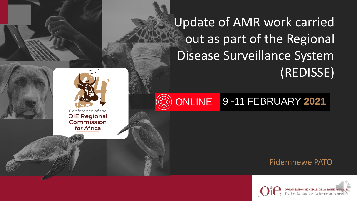Update of AMR work carried out as part of the Regional Disease Surveillance System (REDISSE)

#### **ONLINE** 9 -11 FEBRUARY **2021**

#### Pidemnewe PATO





Conference of the **OIE Regional** Commission for Africa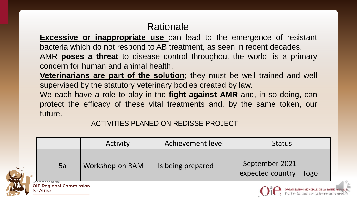# Rationale

**Excessive or inappropriate use** can lead to the emergence of resistant bacteria which do not respond to AB treatment, as seen in recent decades. AMR **poses a threat** to disease control throughout the world, is a primary concern for human and animal health.

**[Veterinarians](https://www.oie.int/en/for-the-media/amr/documents/) are part of the solution**; they must be well trained and well supervised by the statutory veterinary bodies created by law.

We each have a role to play in the **fight against AMR** and, in so doing, can protect the efficacy of these vital treatments and, by the same token, our future.

ACTIVITIES PLANED ON REDISSE PROJECT

|    | Activity        | Achievement level | <b>Status</b>                              |
|----|-----------------|-------------------|--------------------------------------------|
| 5a | Workshop on RAM | Is being prepared | September 2021<br>expected country<br>Togo |





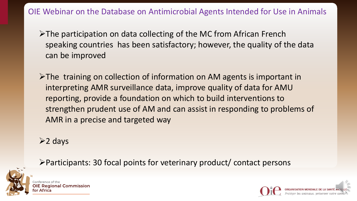OIE Webinar on the Database on Antimicrobial Agents Intended for Use in Animals

➢The participation on data collecting of the MC from African French speaking countries has been satisfactory; however, the quality of the data can be improved

➢The training on collection of information on AM agents is important in interpreting AMR surveillance data, improve quality of data for AMU reporting, provide a foundation on which to build interventions to strengthen prudent use of AM and can assist in responding to problems of AMR in a precise and targeted way

➢2 days



➢Participants: 30 focal points for veterinary product/ contact persons

**Regional Commission** 

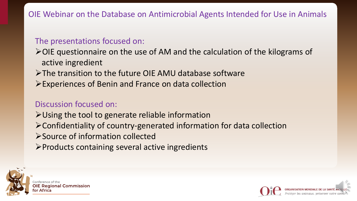## OIE Webinar on the Database on Antimicrobial Agents Intended for Use in Animals

#### The presentations focused on:

➢OIE questionnaire on the use of AM and the calculation of the kilograms of active ingredient

- ➢The transition to the future OIE AMU database software
- ➢Experiences of Benin and France on data collection

### Discussion focused on:

➢Using the tool to generate reliable information

- ➢Confidentiality of country-generated information for data collection
- ➢Source of information collected
- ➢Products containing several active ingredients



**OIE Regional Commission** 

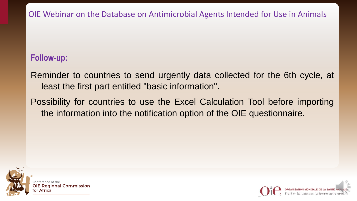OIE Webinar on the Database on Antimicrobial Agents Intended for Use in Animals

### **Follow-up:**

Reminder to countries to send urgently data collected for the 6th cycle, at least the first part entitled "basic information".

Possibility for countries to use the Excel Calculation Tool before importing the information into the notification option of the OIE questionnaire.



**OIE Regional Commission** 

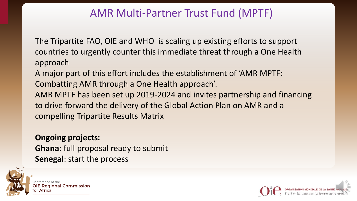# AMR Multi-Partner Trust Fund (MPTF)

The Tripartite FAO, OIE and WHO is scaling up existing efforts to support countries to urgently counter this immediate threat through a One Health approach

A major part of this effort includes the establishment of 'AMR MPTF: Combatting AMR through a One Health approach'.

AMR MPTF has been set up 2019-2024 and invites partnership and financing to drive forward the delivery of the Global Action Plan on AMR and a compelling Tripartite Results Matrix

**Ongoing projects: Ghana**: full proposal ready to submit **Senegal**: start the process



**OIE Regional Commission**